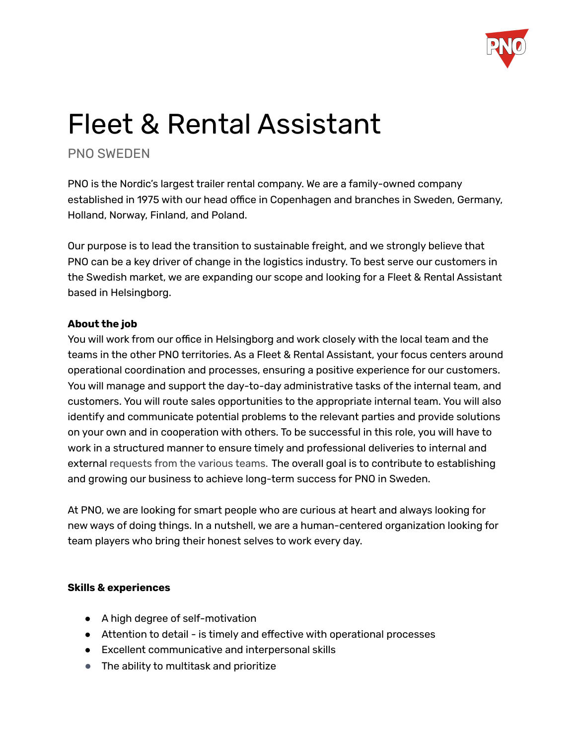

# Fleet & Rental Assistant

# PNO SWEDEN

PNO is the Nordic's largest trailer rental company. We are a family-owned company established in 1975 with our head office in Copenhagen and branches in Sweden, Germany, Holland, Norway, Finland, and Poland.

Our purpose is to lead the transition to sustainable freight, and we strongly believe that PNO can be a key driver of change in the logistics industry. To best serve our customers in the Swedish market, we are expanding our scope and looking for a Fleet & Rental Assistant based in Helsingborg.

# **About the job**

You will work from our office in Helsingborg and work closely with the local team and the teams in the other PNO territories. As a Fleet & Rental Assistant, your focus centers around operational coordination and processes, ensuring a positive experience for our customers. You will manage and support the day-to-day administrative tasks of the internal team, and customers. You will route sales opportunities to the appropriate internal team. You will also identify and communicate potential problems to the relevant parties and provide solutions on your own and in cooperation with others. To be successful in this role, you will have to work in a structured manner to ensure timely and professional deliveries to internal and external requests from the various teams. The overall goal is to contribute to establishing and growing our business to achieve long-term success for PNO in Sweden.

At PNO, we are looking for smart people who are curious at heart and always looking for new ways of doing things. In a nutshell, we are a human-centered organization looking for team players who bring their honest selves to work every day.

# **Skills & experiences**

- A high degree of self-motivation
- Attention to detail is timely and effective with operational processes
- Excellent communicative and interpersonal skills
- The ability to multitask and prioritize